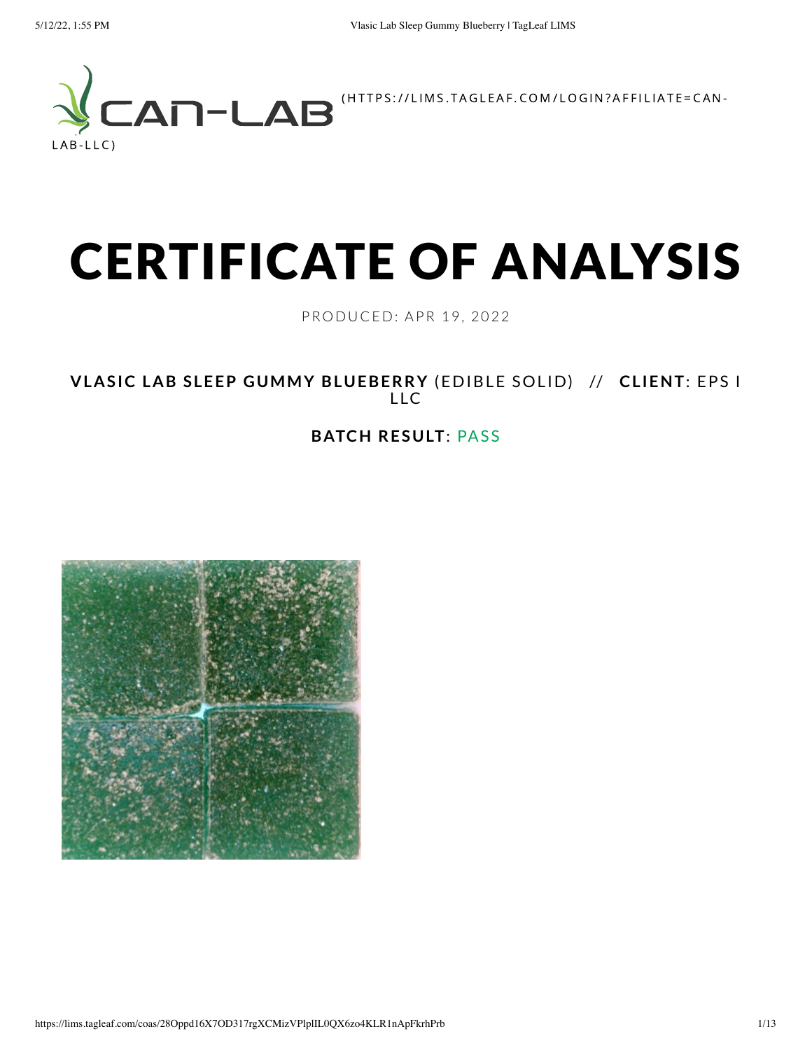

# CERTIFICATE OF ANALYSIS

PRODUC ED: APR 19, 2022

**VLASIC LAB SLEEP GUMMY BLUEBERRY** (EDIBLE SOLID) // **CLIENT**: EPS I LLC

#### **BATCH RESULT**: PASS

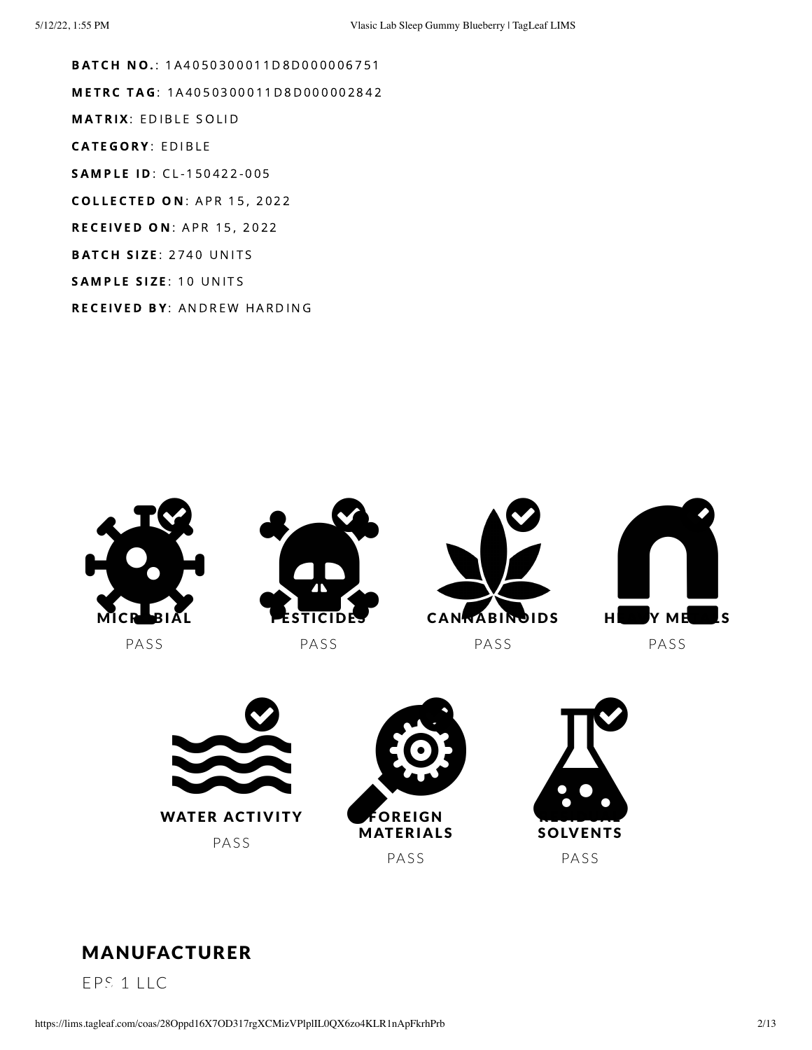**BATCH NO.: 1A4050300011D8D000006751** METRC TAG: 1A4050300011D8D000002842 **MATRIX: EDIBLE SOLID CATEGORY: EDIBLE** SAMPLE ID: CL-150422-005 **COLLECTED ON: APR 15, 2022 RECEIVED ON: APR 15, 2022 BATCH SIZE: 2740 UNITS** SAMPLE SIZE: 10 UNITS RECEIVED BY: ANDREW HARDING





#### MANUFACTURER

EPS 1 LLC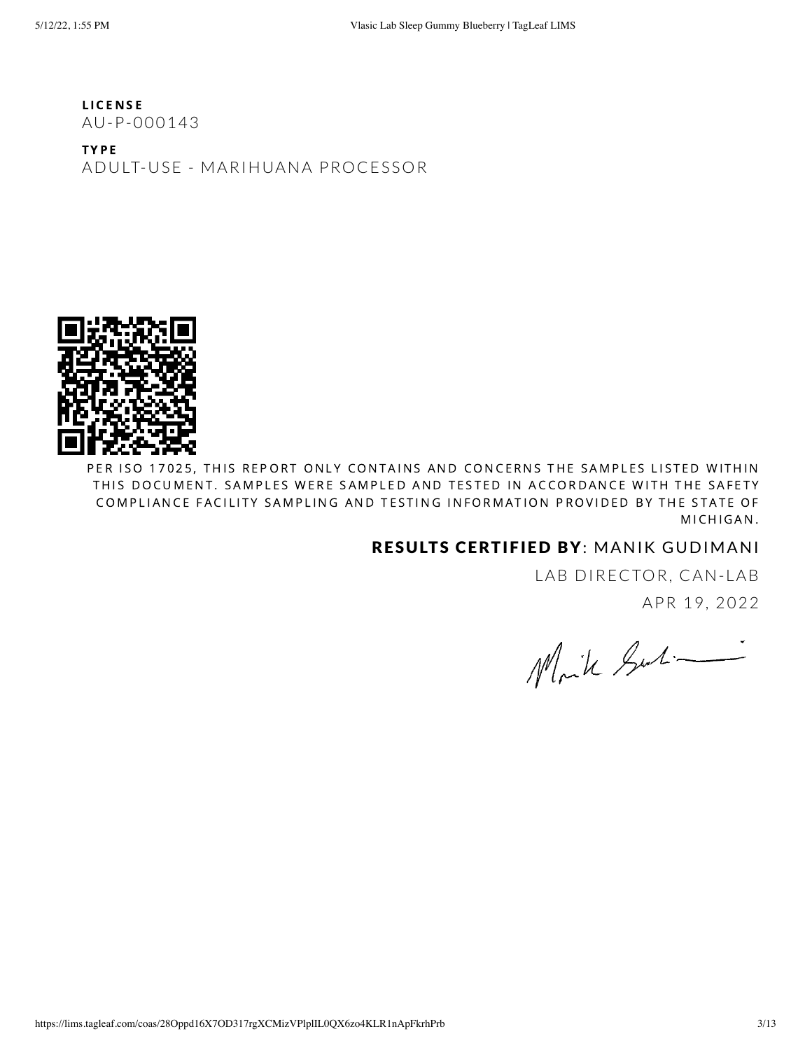**LICENSE** AU-P-000143

T Y P E ADULT-USE - MARIHUANA PROCESSOR



PER ISO 17025, THIS REPORT ONLY CONTAINS AND CONCERNS THE SAMPLES LISTED WITHIN THIS DOCUMENT. SAMPLES WERE SAMPLED AND TESTED IN ACCORDANCE WITH THE SAFETY COMPLIANCE FACILITY SAMPLING AND TESTING INFORMATION PROVIDED BY THE STATE OF MICHIGAN.

#### RESULTS CERTIFIED BY: MANIK GUDIMANI

LAB DIRECTOR, CAN-LAB APR 19, 2022

Moik Surti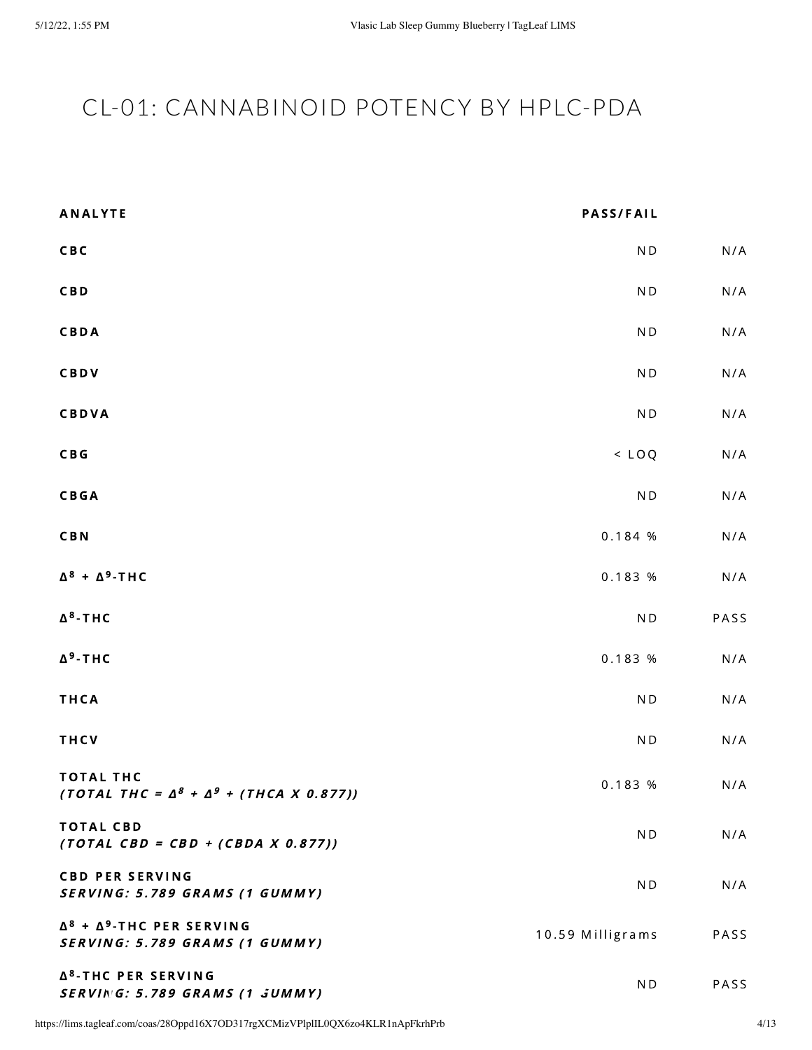# <span id="page-3-0"></span>CL-01: CANNABINOID POTENCY BY HPLC-PDA

| <b>ANALYTE</b>                                                             | <b>PASS/FAIL</b>         |      |
|----------------------------------------------------------------------------|--------------------------|------|
| CBC                                                                        | N <sub>D</sub>           | N/A  |
| <b>CBD</b>                                                                 | N <sub>D</sub>           | N/A  |
| CBDA                                                                       | $\mathsf{N}\,\mathsf{D}$ | N/A  |
| CBDV                                                                       | $\mathsf{N}\,\mathsf{D}$ | N/A  |
| <b>CBDVA</b>                                                               | $\mathsf{N}\,\mathsf{D}$ | N/A  |
| C B G                                                                      | $<$ LOQ                  | N/A  |
| <b>CBGA</b>                                                                | $\mathsf{N}\,\mathsf{D}$ | N/A  |
| <b>CBN</b>                                                                 | 0.184 %                  | N/A  |
| $\Delta^8$ + $\Delta^9$ -THC                                               | 0.183 %                  | N/A  |
| $\Delta^8$ -THC                                                            | $\mathsf{N}\,\mathsf{D}$ | PASS |
| $\Delta^9$ -THC                                                            | 0.183 %                  | N/A  |
| THCA                                                                       | $\mathsf{N}\,\mathsf{D}$ | N/A  |
| THCV                                                                       | N <sub>D</sub>           | N/A  |
| <b>TOTAL THC</b><br>(TOTAL THC = $\Delta^8$ + $\Delta^9$ + (THCA X 0.877)) | 0.183 %                  | N/A  |
| <b>TOTAL CBD</b><br>$(TOTAL$ CBD = CBD + (CBDA X 0.877))                   | ND                       | N/A  |
| <b>CBD PER SERVING</b><br>SERVING: 5.789 GRAMS (1 GUMMY)                   | ND.                      | N/A  |
| $\Delta^8$ + $\Delta^9$ -THC PER SERVING<br>SERVING: 5.789 GRAMS (1 GUMMY) | 10.59 Milligrams         | PASS |
| Δ <sup>8</sup> -THC PER SERVING<br>SERVING: 5.789 GRAMS (1 JUMMY)          | ND                       | PASS |

https://lims.tagleaf.com/coas/28Oppd16X7OD317rgXCMizVPlplIL0QX6zo4KLR1nApFkrhPrb 4/13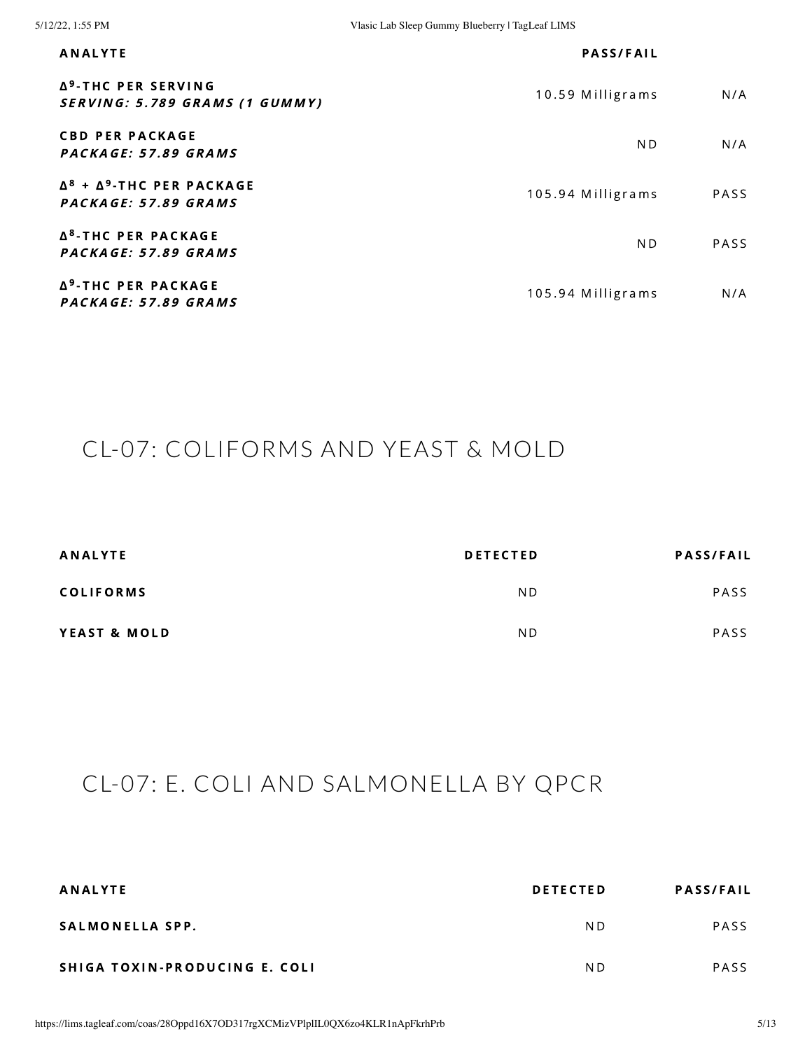| <b>ANALYTE</b>                                                    | <b>PASS/FAIL</b>  |             |
|-------------------------------------------------------------------|-------------------|-------------|
| Δ <sup>9</sup> -THC PER SERVING<br>SERVING: 5.789 GRAMS (1 GUMMY) | 10.59 Milligrams  | N/A         |
| <b>CBD PER PACKAGE</b><br>PACKAGE: 57.89 GRAMS                    | ND.               | N/A         |
| $\Delta^8$ + $\Delta^9$ -THC PER PACKAGE<br>PACKAGE: 57.89 GRAMS  | 105.94 Milligrams | <b>PASS</b> |
| Δ <sup>8</sup> -THC PER PACKAGE<br>PACKAGE: 57.89 GRAMS           | N <sub>D</sub>    | PASS        |
| Δ <sup>9</sup> -THC PER PACKAGE<br>PACKAGE: 57.89 GRAMS           | 105.94 Milligrams | N/A         |

## <span id="page-4-0"></span>CL-07: COLIFORMS AND YEAST & MOLD

| <b>ANALYTE</b>          | <b>DETECTED</b> | <b>PASS/FAIL</b> |
|-------------------------|-----------------|------------------|
| <b>COLIFORMS</b>        | ND.             | PASS             |
| <b>YEAST &amp; MOLD</b> | ND.             | <b>PASS</b>      |

## CL-07: E. COLI AND SALMONELLA BY QPCR

| ANALYTE                       | <b>DETECTED</b> | <b>PASS/FAIL</b> |
|-------------------------------|-----------------|------------------|
| SALMONELLA SPP.               | N D             | PASS             |
| SHIGA TOXIN-PRODUCING E. COLI | N D             | PASS             |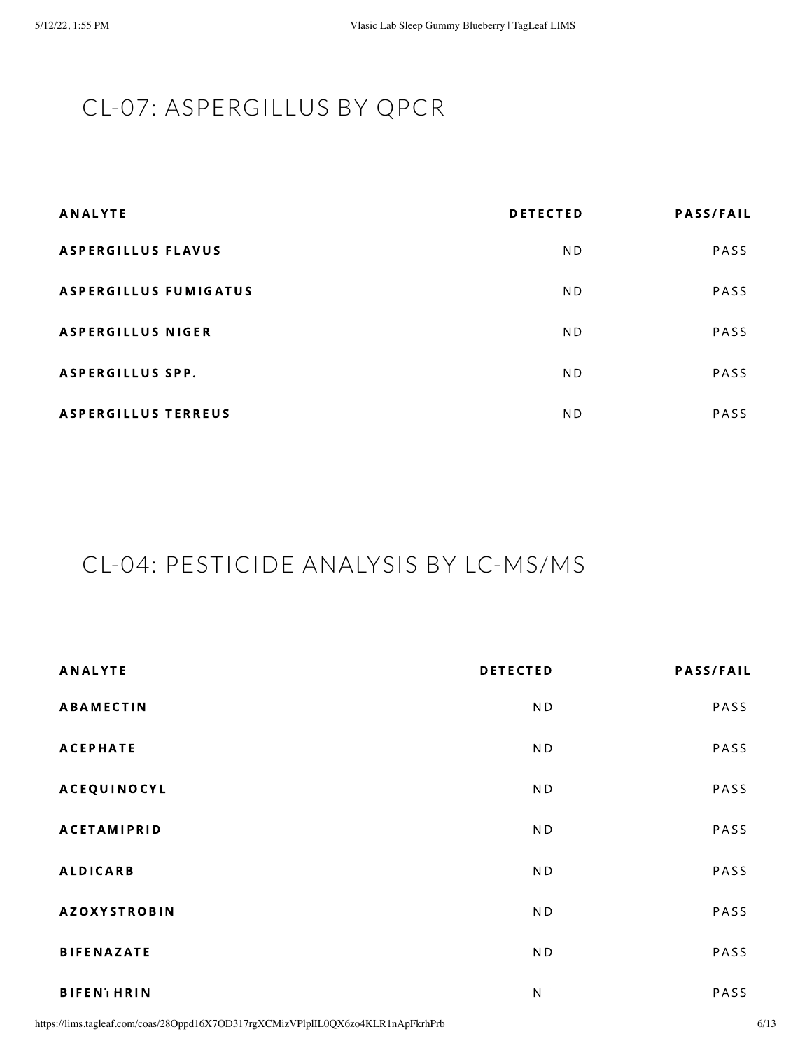# CL-07: ASPERGILLUS BY QPCR

| <b>ANALYTE</b>             | <b>DETECTED</b> | <b>PASS/FAIL</b> |
|----------------------------|-----------------|------------------|
| <b>ASPERGILLUS FLAVUS</b>  | N <sub>D</sub>  | PASS             |
| ASPERGILLUS FUMIGATUS      | ND.             | PASS             |
| <b>ASPERGILLUS NIGER</b>   | N <sub>D</sub>  | PASS             |
| <b>ASPERGILLUS SPP.</b>    | N <sub>D</sub>  | PASS             |
| <b>ASPERGILLUS TERREUS</b> | N <sub>D</sub>  | PASS             |

## <span id="page-5-0"></span>CL-04: PESTICIDE ANALYSIS BY LC-MS/MS

| <b>ANALYTE</b>      | <b>DETECTED</b> | <b>PASS/FAIL</b> |
|---------------------|-----------------|------------------|
| <b>ABAMECTIN</b>    | N <sub>D</sub>  | PASS             |
| <b>ACEPHATE</b>     | N <sub>D</sub>  | PASS             |
| <b>ACEQUINOCYL</b>  | ND.             | PASS             |
| <b>ACETAMIPRID</b>  | ND              | PASS             |
| <b>ALDICARB</b>     | ND              | PASS             |
| <b>AZOXYSTROBIN</b> | N <sub>D</sub>  | PASS             |
| <b>BIFENAZATE</b>   | ND              | PASS             |
| <b>BIFENTHRIN</b>   | $N_{-}$         | PASS             |

https://lims.tagleaf.com/coas/28Oppd16X7OD317rgXCMizVPlplIL0QX6zo4KLR1nApFkrhPrb 6/13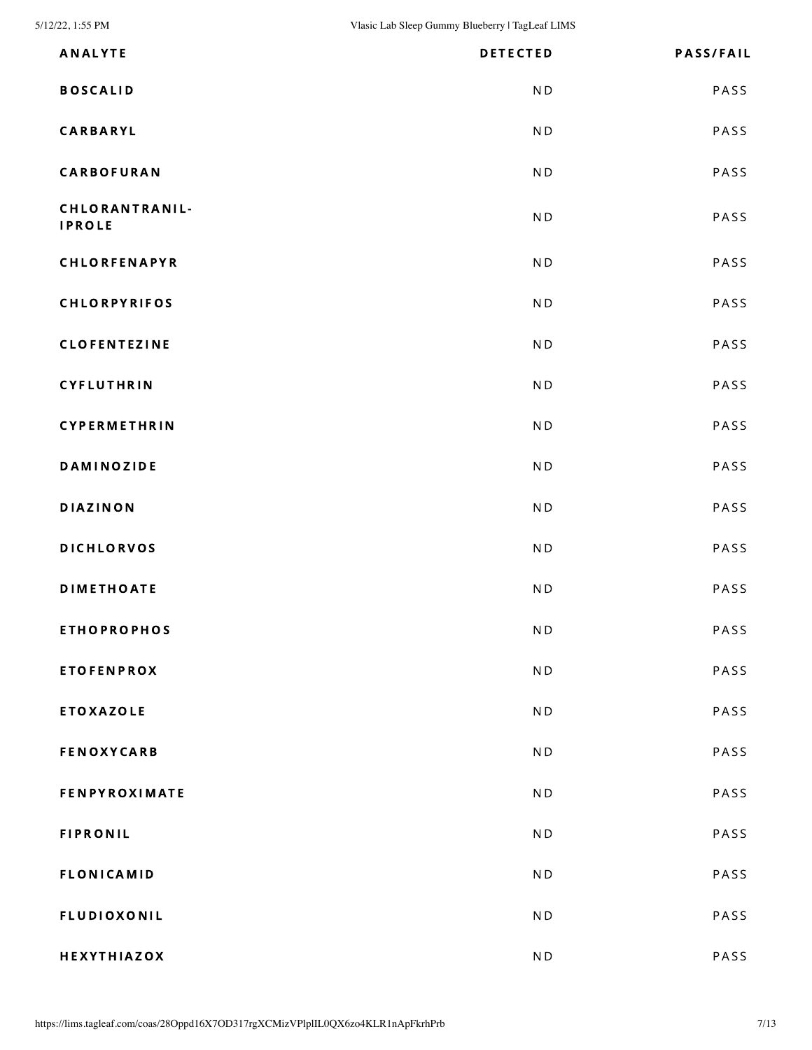| <b>ANALYTE</b>                  | <b>DETECTED</b>          | <b>PASS/FAIL</b> |
|---------------------------------|--------------------------|------------------|
| <b>BOSCALID</b>                 | N <sub>D</sub>           | PASS             |
|                                 |                          |                  |
| CARBARYL                        | ND                       | PASS             |
| <b>CARBOFURAN</b>               | N <sub>D</sub>           | PASS             |
| CHLORANTRANIL-<br><b>IPROLE</b> | N <sub>D</sub>           | PASS             |
| CHLORFENAPYR                    | N <sub>D</sub>           | PASS             |
| <b>CHLORPYRIFOS</b>             | N <sub>D</sub>           | PASS             |
| <b>CLOFENTEZINE</b>             | ND                       | PASS             |
| CYFLUTHRIN                      | N <sub>D</sub>           | PASS             |
| CYPERMETHRIN                    | N <sub>D</sub>           | PASS             |
| <b>DAMINOZIDE</b>               | ND                       | PASS             |
| <b>DIAZINON</b>                 | N <sub>D</sub>           | PASS             |
| <b>DICHLORVOS</b>               | N <sub>D</sub>           | PASS             |
| <b>DIMETHOATE</b>               | N <sub>D</sub>           | PASS             |
| <b>ETHOPROPHOS</b>              | $\mathsf{N}\,\mathsf{D}$ | PASS             |
| <b>ETOFENPROX</b>               | N <sub>D</sub>           | PASS             |
| <b>ETOXAZOLE</b>                | ND                       | PASS             |
| <b>FENOXYCARB</b>               | N <sub>D</sub>           | PASS             |
| <b>FENPYROXIMATE</b>            | N <sub>D</sub>           | PASS             |
| <b>FIPRONIL</b>                 | N <sub>D</sub>           | PASS             |
| <b>FLONICAMID</b>               | N <sub>D</sub>           | PASS             |
| <b>FLUDIOXONIL</b>              | N <sub>D</sub>           | PASS             |
| HEXYTHIAZOX                     | $\mathsf{N}\,\mathsf{D}$ | PASS             |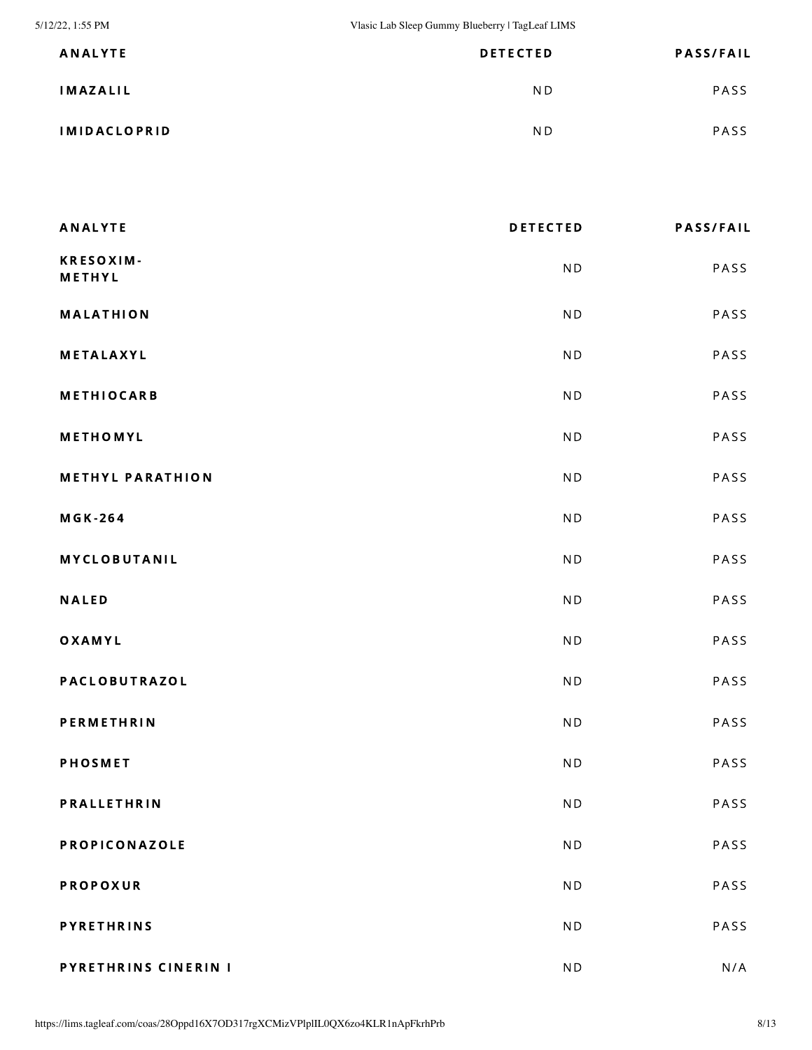5/12/22, 1:55 PM Vlasic Lab Sleep Gummy Blueberry | TagLeaf LIMS

| <b>ANALYTE</b>      | <b>DETECTED</b> | <b>PASS/FAIL</b> |
|---------------------|-----------------|------------------|
| IMAZALIL            | ND.             | PASS             |
| <b>IMIDACLOPRID</b> | ND.             | <b>PASS</b>      |

| <b>ANALYTE</b>          | <b>DETECTED</b>          | <b>PASS/FAIL</b> |
|-------------------------|--------------------------|------------------|
| KRESOXIM-<br>METHYL     | N <sub>D</sub>           | PASS             |
| <b>MALATHION</b>        | N <sub>D</sub>           | PASS             |
| <b>METALAXYL</b>        | N <sub>D</sub>           | PASS             |
| <b>METHIOCARB</b>       | N <sub>D</sub>           | PASS             |
| METHOMYL                | ND                       | PASS             |
| <b>METHYL PARATHION</b> | N <sub>D</sub>           | PASS             |
| <b>MGK-264</b>          | N <sub>D</sub>           | PASS             |
| <b>MYCLOBUTANIL</b>     | N <sub>D</sub>           | PASS             |
| <b>NALED</b>            | N <sub>D</sub>           | PASS             |
| OXAMYL                  | ND                       | PASS             |
| PACLOBUTRAZOL           | N <sub>D</sub>           | PASS             |
| <b>PERMETHRIN</b>       | ND                       | PASS             |
| <b>PHOSMET</b>          | N <sub>D</sub>           | PASS             |
| PRALLETHRIN             | ND                       | PASS             |
| PROPICONAZOLE           | N <sub>D</sub>           | PASS             |
| <b>PROPOXUR</b>         | N <sub>D</sub>           | PASS             |
| <b>PYRETHRINS</b>       | $\mathsf{N}\,\mathsf{D}$ | PASS             |
| PYRETHRINS CINERIN I    | $\mathsf{N}\,\mathsf{D}$ | N/A              |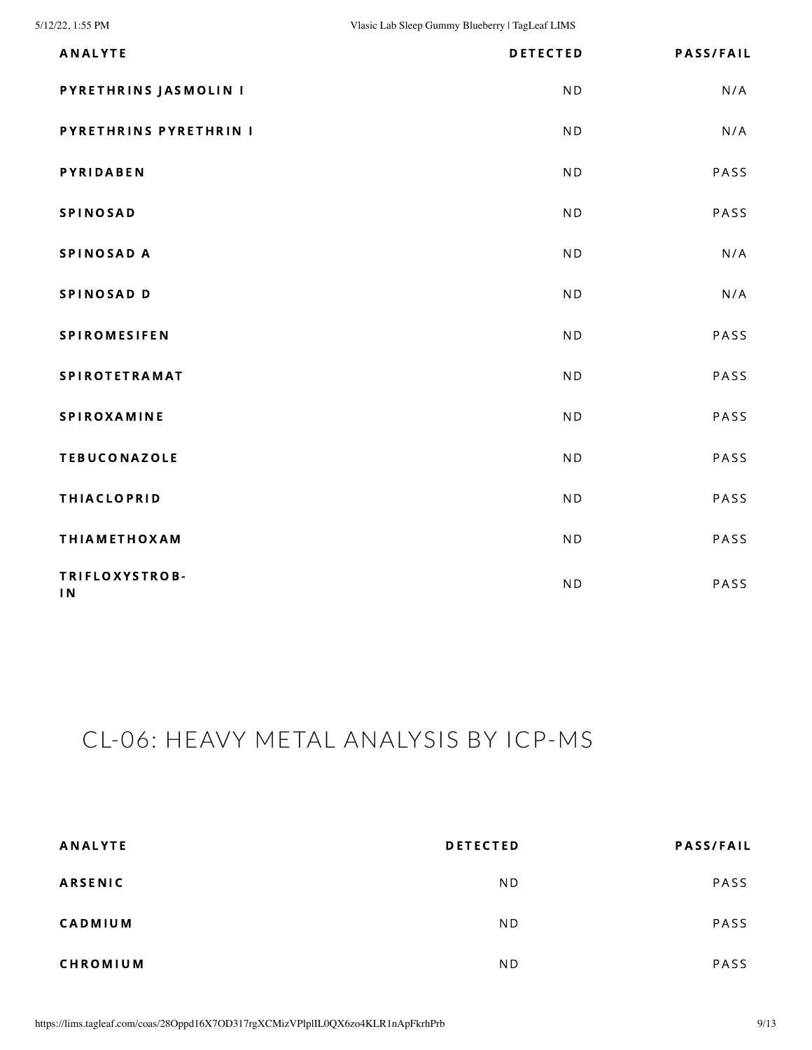| <b>ANALYTE</b>                    | <b>DETECTED</b> | <b>PASS/FAIL</b> |
|-----------------------------------|-----------------|------------------|
| PYRETHRINS JASMOLIN I             | N <sub>D</sub>  | N/A              |
| PYRETHRINS PYRETHRIN I            | N <sub>D</sub>  | N/A              |
| <b>PYRIDABEN</b>                  | N <sub>D</sub>  | PASS             |
| <b>SPINOSAD</b>                   | N <sub>D</sub>  | PASS             |
| SPINOSAD A                        | N <sub>D</sub>  | N/A              |
| SPINOSAD D                        | N <sub>D</sub>  | N/A              |
| <b>SPIROMESIFEN</b>               | N <sub>D</sub>  | PASS             |
| <b>SPIROTETRAMAT</b>              | N <sub>D</sub>  | PASS             |
| SPIROXAMINE                       | N <sub>D</sub>  | PASS             |
| <b>TEBUCONAZOLE</b>               | N <sub>D</sub>  | PASS             |
| <b>THIACLOPRID</b>                | N <sub>D</sub>  | PASS             |
| <b>THIAMETHOXAM</b>               | N <sub>D</sub>  | PASS             |
| TRIFLOXYSTROB-<br>$\overline{1}N$ | N <sub>D</sub>  | PASS             |

## <span id="page-8-0"></span>CL-06: HEAVY METAL ANALYSIS BY ICP-MS

| <b>ANALYTE</b>  | <b>DETECTED</b> | <b>PASS/FAIL</b> |
|-----------------|-----------------|------------------|
| <b>ARSENIC</b>  | N <sub>D</sub>  | PASS             |
| <b>CADMIUM</b>  | N <sub>D</sub>  | PASS             |
| <b>CHROMIUM</b> | ND.             | PASS             |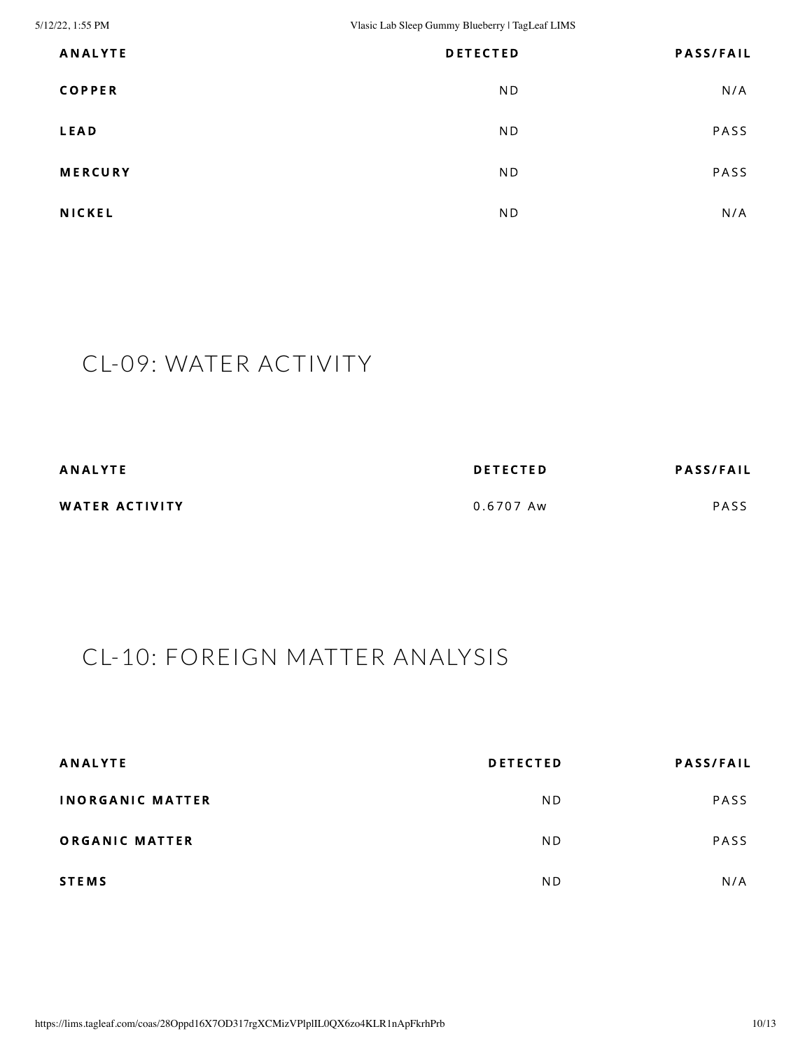5/12/22, 1:55 PM Vlasic Lab Sleep Gummy Blueberry | TagLeaf LIMS

| <b>ANALYTE</b> | <b>DETECTED</b> | <b>PASS/FAIL</b> |
|----------------|-----------------|------------------|
| <b>COPPER</b>  | N <sub>D</sub>  | N/A              |
| <b>LEAD</b>    | N <sub>D</sub>  | PASS             |
| <b>MERCURY</b> | N <sub>D</sub>  | PASS             |
| <b>NICKEL</b>  | N <sub>D</sub>  | N/A              |

## <span id="page-9-0"></span>CL-09: WATER ACTIVITY

| <b>ANALYTE</b> | <b>DETECTED</b> | <b>PASS/FAIL</b> |
|----------------|-----------------|------------------|
| WATER ACTIVITY | 0.6707 Aw       | PASS             |

## <span id="page-9-1"></span>CL-10: FOREIGN MATTER ANALYSIS

| <b>ANALYTE</b>          | <b>DETECTED</b> | <b>PASS/FAIL</b> |
|-------------------------|-----------------|------------------|
| <b>INORGANIC MATTER</b> | N <sub>D</sub>  | PASS             |
| ORGANIC MATTER          | N <sub>D</sub>  | <b>PASS</b>      |
| <b>STEMS</b>            | N <sub>D</sub>  | N/A              |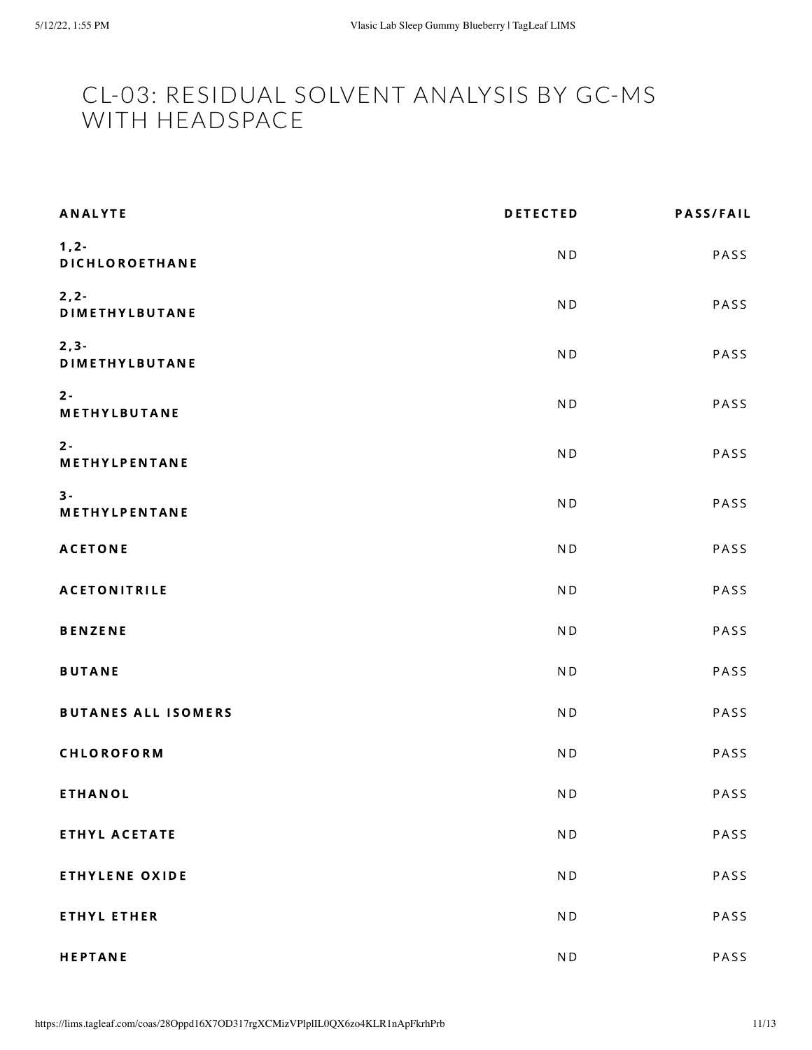### <span id="page-10-0"></span>CL-03: RESIDUAL SOLVENT ANALYSIS BY GC-MS WITH HEADSPACE

| <b>ANALYTE</b>                    | <b>DETECTED</b>          | <b>PASS/FAIL</b> |
|-----------------------------------|--------------------------|------------------|
| $1, 2 -$<br>DICHLOROETHANE        | N <sub>D</sub>           | PASS             |
| $2, 2 -$<br><b>DIMETHYLBUTANE</b> | N <sub>D</sub>           | PASS             |
| $2, 3 -$<br><b>DIMETHYLBUTANE</b> | N <sub>D</sub>           | PASS             |
| $2 -$<br>METHYLBUTANE             | N <sub>D</sub>           | PASS             |
| $2 -$<br>METHYLPENTANE            | N <sub>D</sub>           | PASS             |
| $3 -$<br>METHYLPENTANE            | N <sub>D</sub>           | PASS             |
| <b>ACETONE</b>                    | N <sub>D</sub>           | PASS             |
| <b>ACETONITRILE</b>               | N <sub>D</sub>           | PASS             |
| <b>BENZENE</b>                    | N <sub>D</sub>           | PASS             |
| <b>BUTANE</b>                     | N <sub>D</sub>           | PASS             |
| <b>BUTANES ALL ISOMERS</b>        | N <sub>D</sub>           | PASS             |
| CHLOROFORM                        | N <sub>D</sub>           | PASS             |
| <b>ETHANOL</b>                    | $\mathsf{N}\,\mathsf{D}$ | PASS             |
| ETHYL ACETATE                     | $\mathsf{N}\,\mathsf{D}$ | PASS             |
| <b>ETHYLENE OXIDE</b>             | N <sub>D</sub>           | PASS             |
| <b>ETHYL ETHER</b>                | $\mathsf{N}\,\mathsf{D}$ | PASS             |
| <b>HEPTANE</b>                    | $\mathsf{N}\,\mathsf{D}$ | PASS             |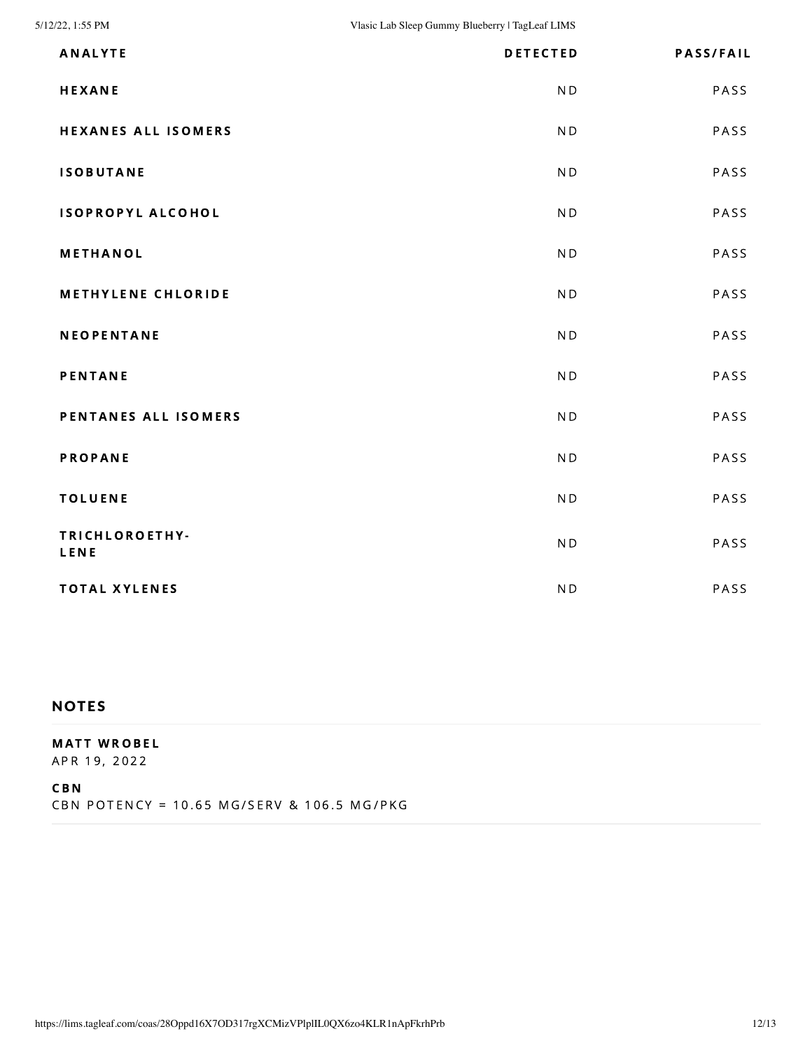| <b>ANALYTE</b>             | <b>DETECTED</b> | <b>PASS/FAIL</b> |
|----------------------------|-----------------|------------------|
| <b>HEXANE</b>              | N <sub>D</sub>  | PASS             |
| <b>HEXANES ALL ISOMERS</b> | N <sub>D</sub>  | PASS             |
| <b>ISOBUTANE</b>           | N <sub>D</sub>  | PASS             |
| ISOPROPYL ALCOHOL          | N <sub>D</sub>  | PASS             |
| METHANOL                   | N <sub>D</sub>  | PASS             |
| <b>METHYLENE CHLORIDE</b>  | N <sub>D</sub>  | PASS             |
| <b>NEOPENTANE</b>          | <b>ND</b>       | PASS             |
| <b>PENTANE</b>             | N <sub>D</sub>  | PASS             |
| PENTANES ALL ISOMERS       | N <sub>D</sub>  | PASS             |
| <b>PROPANE</b>             | N <sub>D</sub>  | PASS             |
| <b>TOLUENE</b>             | <b>ND</b>       | PASS             |
| TRICHLOROETHY-<br>LENE     | <b>ND</b>       | PASS             |
| <b>TOTAL XYLENES</b>       | <b>ND</b>       | PASS             |

#### **NOTES**

#### **MATT WROBEL**

APR 19, 2022

CB N

CBN POTENCY = 10.65 MG/SERV & 106.5 MG/PKG